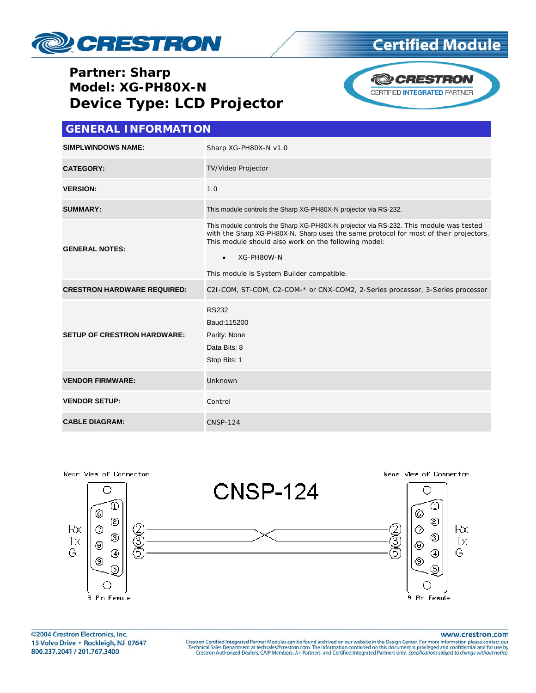

## **Partner: Sharp Model: XG-PH80X-N Device Type: LCD Projector**





| <b>GENERAL INFORMATION</b>         |                                                                                                                                                                                                                                                                                                                 |  |  |
|------------------------------------|-----------------------------------------------------------------------------------------------------------------------------------------------------------------------------------------------------------------------------------------------------------------------------------------------------------------|--|--|
| <b>SIMPLWINDOWS NAME:</b>          | Sharp XG-PH80X-N v1.0                                                                                                                                                                                                                                                                                           |  |  |
| <b>CATEGORY:</b>                   | <b>TV/Video Projector</b>                                                                                                                                                                                                                                                                                       |  |  |
| <b>VERSION:</b>                    | 1.0                                                                                                                                                                                                                                                                                                             |  |  |
| <b>SUMMARY:</b>                    | This module controls the Sharp XG-PH80X-N projector via RS-232.                                                                                                                                                                                                                                                 |  |  |
| <b>GENERAL NOTES:</b>              | This module controls the Sharp XG-PH80X-N projector via RS-232. This module was tested<br>with the Sharp XG-PH80X-N. Sharp uses the same protocol for most of their projectors.<br>This module should also work on the following model:<br>XG-PH80W-N<br>$\bullet$<br>This module is System Builder compatible. |  |  |
| <b>CRESTRON HARDWARE REQUIRED:</b> | C2I-COM, ST-COM, C2-COM-* or CNX-COM2, 2-Series processor, 3-Series processor                                                                                                                                                                                                                                   |  |  |
| <b>SETUP OF CRESTRON HARDWARE:</b> | <b>RS232</b><br>Baud: 115200<br>Parity: None<br>Data Bits: 8<br>Stop Bits: 1                                                                                                                                                                                                                                    |  |  |
| <b>VENDOR FIRMWARE:</b>            | Unknown                                                                                                                                                                                                                                                                                                         |  |  |
| <b>VENDOR SETUP:</b>               | Control                                                                                                                                                                                                                                                                                                         |  |  |
| <b>CABLE DIAGRAM:</b>              | <b>CNSP-124</b>                                                                                                                                                                                                                                                                                                 |  |  |



www.crestron.com

Crestron Certified Integrated Partner Modules can be found archived on our website in the Design Center. For more information please contact our Technical Sales Department at techsales@crestron.com. The information contain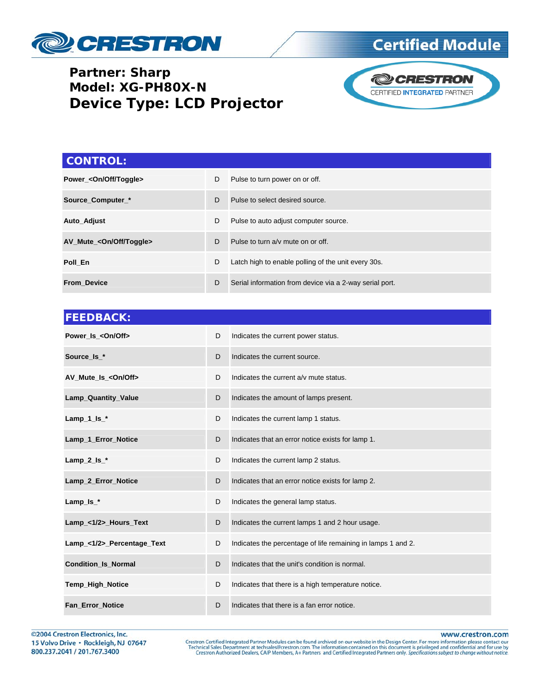

## **Certified Module**

#### **Partner: Sharp Model: XG-PH80X-N Device Type: LCD Projector**



# **CONTROL: Power\_<On/Off/Toggle> D** Pulse to turn power on or off. **Source\_Computer\_\* D** Pulse to select desired source. **Auto\_Adjust** D Pulse to auto adjust computer source. **AV\_Mute\_<On/Off/Toggle>** D Pulse to turn a/v mute on or off. **Poll\_En D** Latch high to enable polling of the unit every 30s. **From\_Device D** Serial information from device via a 2-way serial port.

| <b>FEEDBACK:</b>           |   |                                                              |
|----------------------------|---|--------------------------------------------------------------|
| Power Is < On/Off>         | D | Indicates the current power status.                          |
| Source Is *                | D | Indicates the current source.                                |
| AV Mute Is < On/Off>       | D | Indicates the current a/v mute status.                       |
| Lamp_Quantity_Value        | D | Indicates the amount of lamps present.                       |
| $Lamp_1_s$                 | D | Indicates the current lamp 1 status.                         |
| Lamp_1_Error_Notice        | D | Indicates that an error notice exists for lamp 1.            |
| Lamp_2_ $ls$ _*            | D | Indicates the current lamp 2 status.                         |
| Lamp_2_Error_Notice        | D | Indicates that an error notice exists for lamp 2.            |
| Lamp_ $Is$ <sub>*</sub>    | D | Indicates the general lamp status.                           |
| Lamp_<1/2>_Hours_Text      | D | Indicates the current lamps 1 and 2 hour usage.              |
| Lamp_<1/2>_Percentage_Text | D | Indicates the percentage of life remaining in lamps 1 and 2. |
| <b>Condition_Is_Normal</b> | D | Indicates that the unit's condition is normal.               |
| <b>Temp_High_Notice</b>    | D | Indicates that there is a high temperature notice.           |
| <b>Fan Error Notice</b>    | D | Indicates that there is a fan error notice.                  |

©2004 Crestron Electronics, Inc. 15 Volvo Drive · Rockleigh, NJ 07647 800.237.2041 / 201.767.3400

www.crestron.com

Crestron Certified Integrated Partner Modules can be found archived on our website in the Design Center. For more information please contact our Technical Sales Department at techsales@crestron.com. The information contain